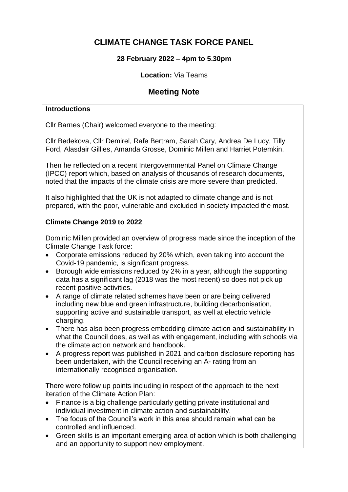# **CLIMATE CHANGE TASK FORCE PANEL**

# **28 February 2022 – 4pm to 5.30pm**

#### **Location:** Via Teams

# **Meeting Note**

#### **Introductions**

Cllr Barnes (Chair) welcomed everyone to the meeting:

Cllr Bedekova, Cllr Demirel, Rafe Bertram, Sarah Cary, Andrea De Lucy, Tilly Ford, Alasdair Gillies, Amanda Grosse, Dominic Millen and Harriet Potemkin.

Then he reflected on a recent Intergovernmental Panel on Climate Change (IPCC) report which, based on analysis of thousands of research documents, noted that the impacts of the climate crisis are more severe than predicted.

It also highlighted that the UK is not adapted to climate change and is not prepared, with the poor, vulnerable and excluded in society impacted the most.

# **Climate Change 2019 to 2022**

Dominic Millen provided an overview of progress made since the inception of the Climate Change Task force:

- Corporate emissions reduced by 20% which, even taking into account the Covid-19 pandemic, is significant progress.
- Borough wide emissions reduced by 2% in a year, although the supporting data has a significant lag (2018 was the most recent) so does not pick up recent positive activities.
- A range of climate related schemes have been or are being delivered including new blue and green infrastructure, building decarbonisation, supporting active and sustainable transport, as well at electric vehicle charging.
- There has also been progress embedding climate action and sustainability in what the Council does, as well as with engagement, including with schools via the climate action network and handbook.
- A progress report was published in 2021 and carbon disclosure reporting has been undertaken, with the Council receiving an A- rating from an internationally recognised organisation.

There were follow up points including in respect of the approach to the next iteration of the Climate Action Plan:

- Finance is a big challenge particularly getting private institutional and individual investment in climate action and sustainability.
- The focus of the Council's work in this area should remain what can be controlled and influenced.
- Green skills is an important emerging area of action which is both challenging and an opportunity to support new employment.